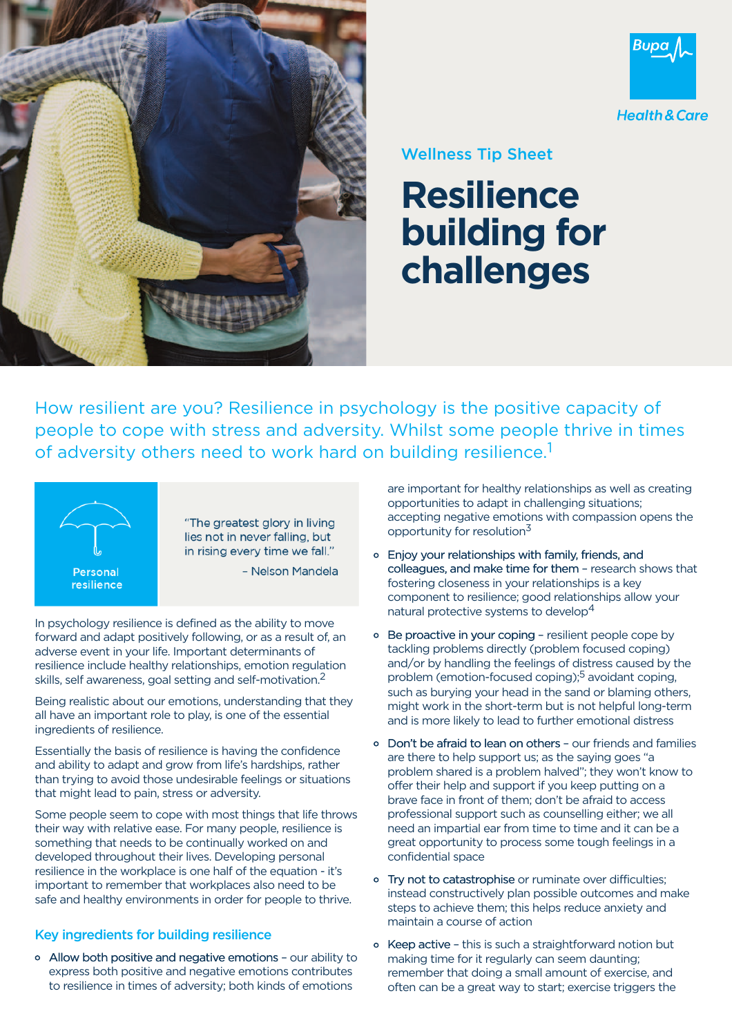



## Wellness Tip Sheet

## **Resilience building for challenges**

How resilient are you? Resilience in psychology is the positive capacity of people to cope with stress and adversity. Whilst some people thrive in times of adversity others need to work hard on building resilience.<sup>1</sup>



"The greatest glory in living lies not in never falling, but in rising every time we fall."

- Nelson Mandela

In psychology resilience is defined as the ability to move forward and adapt positively following, or as a result of, an adverse event in your life. Important determinants of resilience include healthy relationships, emotion regulation skills, self awareness, goal setting and self-motivation.<sup>2</sup>

Being realistic about our emotions, understanding that they all have an important role to play, is one of the essential ingredients of resilience.

Essentially the basis of resilience is having the confidence and ability to adapt and grow from life's hardships, rather than trying to avoid those undesirable feelings or situations that might lead to pain, stress or adversity.

Some people seem to cope with most things that life throws their way with relative ease. For many people, resilience is something that needs to be continually worked on and developed throughout their lives. Developing personal resilience in the workplace is one half of the equation - it's important to remember that workplaces also need to be safe and healthy environments in order for people to thrive.

## Key ingredients for building resilience

o Allow both positive and negative emotions - our ability to express both positive and negative emotions contributes to resilience in times of adversity; both kinds of emotions

are important for healthy relationships as well as creating opportunities to adapt in challenging situations; accepting negative emotions with compassion opens the opportunity for resolution<sup>3</sup>

- $\circ$  Enjoy your relationships with family, friends, and colleagues, and make time for them - research shows that fostering closeness in your relationships is a key component to resilience; good relationships allow your natural protective systems to develop<sup>4</sup>
- o Be proactive in your coping resilient people cope by tackling problems directly (problem focused coping) and/or by handling the feelings of distress caused by the problem (emotion-focused coping);<sup>5</sup> avoidant coping, such as burying your head in the sand or blaming others, might work in the short-term but is not helpful long-term and is more likely to lead to further emotional distress
- o Don't be afraid to lean on others our friends and families are there to help support us; as the saying goes "a problem shared is a problem halved"; they won't know to offer their help and support if you keep putting on a brave face in front of them; don't be afraid to access professional support such as counselling either; we all need an impartial ear from time to time and it can be a great opportunity to process some tough feelings in a confidential space
- o Try not to catastrophise or ruminate over difficulties; instead constructively plan possible outcomes and make steps to achieve them; this helps reduce anxiety and maintain a course of action
- o Keep active this is such a straightforward notion but making time for it regularly can seem daunting; remember that doing a small amount of exercise, and often can be a great way to start; exercise triggers the